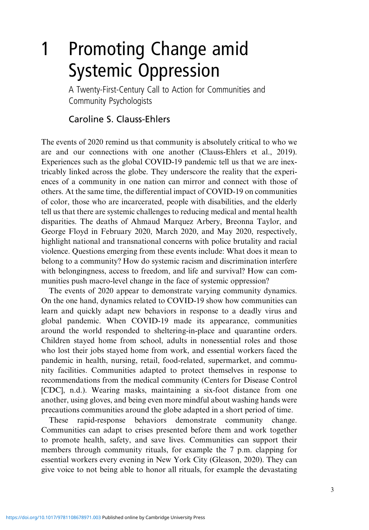# 1 Promoting Change amid Systemic Oppression

A Twenty-First-Century Call to Action for Communities and Community Psychologists

## Caroline S. Clauss-Ehlers

The events of 2020 remind us that community is absolutely critical to who we are and our connections with one another (Clauss-Ehlers et al., 2019). Experiences such as the global COVID-19 pandemic tell us that we are inextricably linked across the globe. They underscore the reality that the experiences of a community in one nation can mirror and connect with those of others. At the same time, the differential impact of COVID-19 on communities of color, those who are incarcerated, people with disabilities, and the elderly tell us that there are systemic challenges to reducing medical and mental health disparities. The deaths of Ahmaud Marquez Arbery, Breonna Taylor, and George Floyd in February 2020, March 2020, and May 2020, respectively, highlight national and transnational concerns with police brutality and racial violence. Questions emerging from these events include: What does it mean to belong to a community? How do systemic racism and discrimination interfere with belongingness, access to freedom, and life and survival? How can communities push macro-level change in the face of systemic oppression?

The events of 2020 appear to demonstrate varying community dynamics. On the one hand, dynamics related to COVID-19 show how communities can learn and quickly adapt new behaviors in response to a deadly virus and global pandemic. When COVID-19 made its appearance, communities around the world responded to sheltering-in-place and quarantine orders. Children stayed home from school, adults in nonessential roles and those who lost their jobs stayed home from work, and essential workers faced the pandemic in health, nursing, retail, food-related, supermarket, and community facilities. Communities adapted to protect themselves in response to recommendations from the medical community (Centers for Disease Control [CDC], n.d.). Wearing masks, maintaining a six-foot distance from one another, using gloves, and being even more mindful about washing hands were precautions communities around the globe adapted in a short period of time.

These rapid-response behaviors demonstrate community change. Communities can adapt to crises presented before them and work together to promote health, safety, and save lives. Communities can support their members through community rituals, for example the 7 p.m. clapping for essential workers every evening in New York City (Gleason, 2020). They can give voice to not being able to honor all rituals, for example the devastating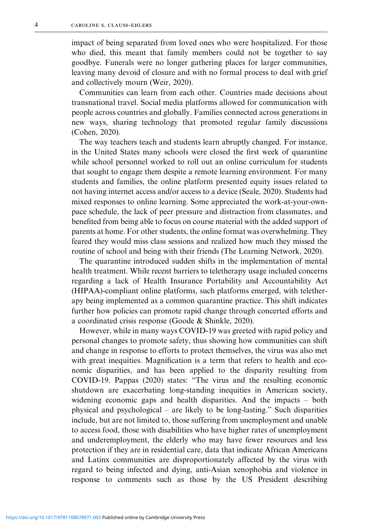impact of being separated from loved ones who were hospitalized. For those who died, this meant that family members could not be together to say goodbye. Funerals were no longer gathering places for larger communities, leaving many devoid of closure and with no formal process to deal with grief and collectively mourn (Weir, 2020).

Communities can learn from each other. Countries made decisions about transnational travel. Social media platforms allowed for communication with people across countries and globally. Families connected across generations in new ways, sharing technology that promoted regular family discussions (Cohen, 2020).

The way teachers teach and students learn abruptly changed. For instance, in the United States many schools were closed the first week of quarantine while school personnel worked to roll out an online curriculum for students that sought to engage them despite a remote learning environment. For many students and families, the online platform presented equity issues related to not having internet access and/or access to a device (Seale, 2020). Students had mixed responses to online learning. Some appreciated the work-at-your-ownpace schedule, the lack of peer pressure and distraction from classmates, and benefited from being able to focus on course material with the added support of parents at home. For other students, the online format was overwhelming. They feared they would miss class sessions and realized how much they missed the routine of school and being with their friends (The Learning Network, 2020).

The quarantine introduced sudden shifts in the implementation of mental health treatment. While recent barriers to teletherapy usage included concerns regarding a lack of Health Insurance Portability and Accountability Act (HIPAA)-compliant online platforms, such platforms emerged, with teletherapy being implemented as a common quarantine practice. This shift indicates further how policies can promote rapid change through concerted efforts and a coordinated crisis response (Goode & Shinkle, 2020).

However, while in many ways COVID-19 was greeted with rapid policy and personal changes to promote safety, thus showing how communities can shift and change in response to efforts to protect themselves, the virus was also met with great inequities. Magnification is a term that refers to health and economic disparities, and has been applied to the disparity resulting from COVID-19. Pappas (2020) states: "The virus and the resulting economic shutdown are exacerbating long-standing inequities in American society, widening economic gaps and health disparities. And the impacts – both physical and psychological – are likely to be long-lasting." Such disparities include, but are not limited to, those suffering from unemployment and unable to access food, those with disabilities who have higher rates of unemployment and underemployment, the elderly who may have fewer resources and less protection if they are in residential care, data that indicate African Americans and Latinx communities are disproportionately affected by the virus with regard to being infected and dying, anti-Asian xenophobia and violence in response to comments such as those by the US President describing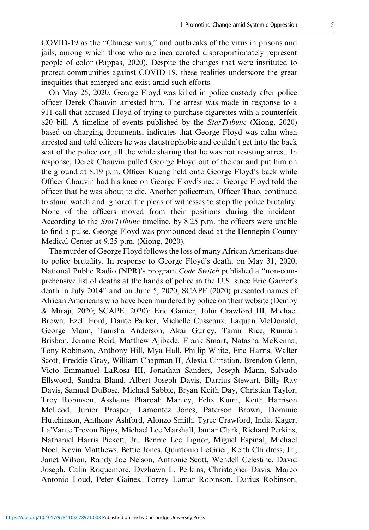COVID-19 as the "Chinese virus," and outbreaks of the virus in prisons and jails, among which those who are incarcerated disproportionately represent people of color (Pappas, 2020). Despite the changes that were instituted to protect communities against COVID-19, these realities underscore the great inequities that emerged and exist amid such efforts.

On May 25, 2020, George Floyd was killed in police custody after police officer Derek Chauvin arrested him. The arrest was made in response to a 911 call that accused Floyd of trying to purchase cigarettes with a counterfeit \$20 bill. A timeline of events published by the *StarTribune* (Xiong, 2020) based on charging documents, indicates that George Floyd was calm when arrested and told officers he was claustrophobic and couldn't get into the back seat of the police car, all the while sharing that he was not resisting arrest. In response, Derek Chauvin pulled George Floyd out of the car and put him on the ground at 8.19 p.m. Officer Kueng held onto George Floyd's back while Officer Chauvin had his knee on George Floyd's neck. George Floyd told the officer that he was about to die. Another policeman, Officer Thao, continued to stand watch and ignored the pleas of witnesses to stop the police brutality. None of the officers moved from their positions during the incident. According to the *StarTribune* timeline, by 8.25 p.m. the officers were unable to find a pulse. George Floyd was pronounced dead at the Hennepin County Medical Center at 9.25 p.m. (Xiong, 2020).

The murder of George Floyd follows the loss of many African Americans due to police brutality. In response to George Floyd's death, on May 31, 2020, National Public Radio (NPR)'s program *Code Switch* published a "non-comprehensive list of deaths at the hands of police in the U.S. since Eric Garner's death in July 2014" and on June 5, 2020, SCAPE (2020) presented names of African Americans who have been murdered by police on their website (Demby & Miraji, 2020; SCAPE, 2020): Eric Garner, John Crawford III, Michael Brown, Ezell Ford, Dante Parker, Michelle Cusseaux, Laquan McDonald, George Mann, Tanisha Anderson, Akai Gurley, Tamir Rice, Rumain Brisbon, Jerame Reid, Matthew Ajibade, Frank Smart, Natasha McKenna, Tony Robinson, Anthony Hill, Mya Hall, Phillip White, Eric Harris, Walter Scott, Freddie Gray, William Chapman II, Alexia Christian, Brendon Glenn, Victo Emmanuel LaRosa III, Jonathan Sanders, Joseph Mann, Salvado Ellswood, Sandra Bland, Albert Joseph Davis, Darrius Stewart, Billy Ray Davis, Samuel DuBose, Michael Sabbie, Bryan Keith Day, Christian Taylor, Troy Robinson, Asshams Pharoah Manley, Felix Kumi, Keith Harrison McLeod, Junior Prosper, Lamontez Jones, Paterson Brown, Dominic Hutchinson, Anthony Ashford, Alonzo Smith, Tyree Crawford, India Kager, La'Vante Trevon Biggs, Michael Lee Marshall, Jamar Clark, Richard Perkins, Nathaniel Harris Pickett, Jr., Bennie Lee Tignor, Miguel Espinal, Michael Noel, Kevin Matthews, Bettie Jones, Quintonio LeGrier, Keith Childress, Jr., Janet Wilson, Randy Joe Nelson, Antronie Scott, Wendell Celestine, David Joseph, Calin Roquemore, Dyzhawn L. Perkins, Christopher Davis, Marco Antonio Loud, Peter Gaines, Torrey Lamar Robinson, Darius Robinson,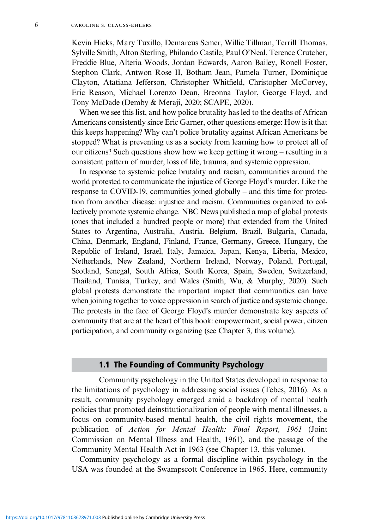Kevin Hicks, Mary Tuxillo, Demarcus Semer, Willie Tillman, Terrill Thomas, Sylville Smith, Alton Sterling, Philando Castile, Paul O'Neal, Terence Crutcher, Freddie Blue, Alteria Woods, Jordan Edwards, Aaron Bailey, Ronell Foster, Stephon Clark, Antwon Rose II, Botham Jean, Pamela Turner, Dominique Clayton, Atatiana Jefferson, Christopher Whitfield, Christopher McCorvey, Eric Reason, Michael Lorenzo Dean, Breonna Taylor, George Floyd, and Tony McDade (Demby & Meraji, 2020; SCAPE, 2020).

When we see this list, and how police brutality has led to the deaths of African Americans consistently since Eric Garner, other questions emerge: How is it that this keeps happening? Why can't police brutality against African Americans be stopped? What is preventing us as a society from learning how to protect all of our citizens? Such questions show how we keep getting it wrong – resulting in a consistent pattern of murder, loss of life, trauma, and systemic oppression.

In response to systemic police brutality and racism, communities around the world protested to communicate the injustice of George Floyd's murder. Like the response to COVID-19, communities joined globally – and this time for protection from another disease: injustice and racism. Communities organized to collectively promote systemic change. NBC News published a map of global protests (ones that included a hundred people or more) that extended from the United States to Argentina, Australia, Austria, Belgium, Brazil, Bulgaria, Canada, China, Denmark, England, Finland, France, Germany, Greece, Hungary, the Republic of Ireland, Israel, Italy, Jamaica, Japan, Kenya, Liberia, Mexico, Netherlands, New Zealand, Northern Ireland, Norway, Poland, Portugal, Scotland, Senegal, South Africa, South Korea, Spain, Sweden, Switzerland, Thailand, Tunisia, Turkey, and Wales (Smith, Wu, & Murphy, 2020). Such global protests demonstrate the important impact that communities can have when joining together to voice oppression in search of justice and systemic change. The protests in the face of George Floyd's murder demonstrate key aspects of community that are at the heart of this book: empowerment, social power, citizen participation, and community organizing (see Chapter 3, this volume).

#### 1.1 The Founding of Community Psychology

Community psychology in the United States developed in response to the limitations of psychology in addressing social issues (Tebes, 2016). As a result, community psychology emerged amid a backdrop of mental health policies that promoted deinstitutionalization of people with mental illnesses, a focus on community-based mental health, the civil rights movement, the publication of *Action for Mental Health: Final Report, 1961* (Joint Commission on Mental Illness and Health, 1961), and the passage of the Community Mental Health Act in 1963 (see Chapter 13, this volume).

Community psychology as a formal discipline within psychology in the USA was founded at the Swampscott Conference in 1965. Here, community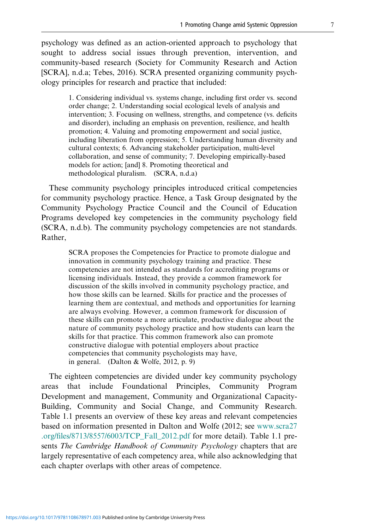psychology was defined as an action-oriented approach to psychology that sought to address social issues through prevention, intervention, and community-based research (Society for Community Research and Action [SCRA], n.d.a; Tebes, 2016). SCRA presented organizing community psychology principles for research and practice that included:

> 1. Considering individual vs. systems change, including first order vs. second order change; 2. Understanding social ecological levels of analysis and intervention; 3. Focusing on wellness, strengths, and competence (vs. deficits and disorder), including an emphasis on prevention, resilience, and health promotion; 4. Valuing and promoting empowerment and social justice, including liberation from oppression; 5. Understanding human diversity and cultural contexts; 6. Advancing stakeholder participation, multi-level collaboration, and sense of community; 7. Developing empirically-based models for action; [and] 8. Promoting theoretical and methodological pluralism. (SCRA, n.d.a)

These community psychology principles introduced critical competencies for community psychology practice. Hence, a Task Group designated by the Community Psychology Practice Council and the Council of Education Programs developed key competencies in the community psychology field (SCRA, n.d.b). The community psychology competencies are not standards. Rather,

> SCRA proposes the Competencies for Practice to promote dialogue and innovation in community psychology training and practice. These competencies are not intended as standards for accrediting programs or licensing individuals. Instead, they provide a common framework for discussion of the skills involved in community psychology practice, and how those skills can be learned. Skills for practice and the processes of learning them are contextual, and methods and opportunities for learning are always evolving. However, a common framework for discussion of these skills can promote a more articulate, productive dialogue about the nature of community psychology practice and how students can learn the skills for that practice. This common framework also can promote constructive dialogue with potential employers about practice competencies that community psychologists may have, in general. (Dalton & Wolfe, 2012, p. 9)

The eighteen competencies are divided under key community psychology areas that include Foundational Principles, Community Program Development and management, Community and Organizational Capacity-Building, Community and Social Change, and Community Research. Table 1.1 presents an overview of these key areas and relevant competencies based on information presented in Dalton and Wolfe (2012; see [www.scra27](http://www.scra27.org/files/8713/8557/6003/TCP_Fall_2012.pdf) .org/fi[les/8713/8557/6003/TCP\\_Fall\\_2012.pdf](http://www.scra27.org/files/8713/8557/6003/TCP_Fall_2012.pdf) for more detail). Table 1.1 presents *The Cambridge Handbook of Community Psychology* chapters that are largely representative of each competency area, while also acknowledging that each chapter overlaps with other areas of competence.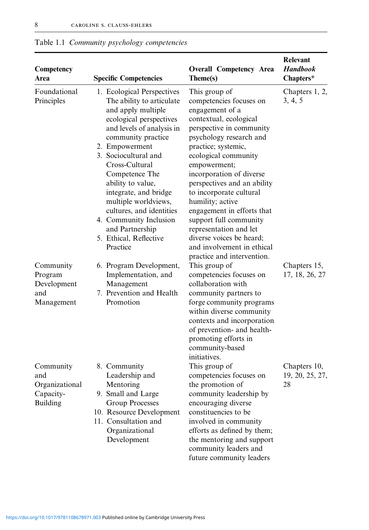| Competency<br>Area                                                 | <b>Specific Competencies</b>                                                                                                                                                                                                                                                                                                                                                                                                   | <b>Overall Competency Area</b><br>Theme(s)                                                                                                                                                                                                                                                                                                                                                                                                                                                      | Relevant<br><b>Handbook</b><br>Chapters* |
|--------------------------------------------------------------------|--------------------------------------------------------------------------------------------------------------------------------------------------------------------------------------------------------------------------------------------------------------------------------------------------------------------------------------------------------------------------------------------------------------------------------|-------------------------------------------------------------------------------------------------------------------------------------------------------------------------------------------------------------------------------------------------------------------------------------------------------------------------------------------------------------------------------------------------------------------------------------------------------------------------------------------------|------------------------------------------|
| Foundational<br>Principles                                         | 1. Ecological Perspectives<br>The ability to articulate<br>and apply multiple<br>ecological perspectives<br>and levels of analysis in<br>community practice<br>2. Empowerment<br>3. Sociocultural and<br>Cross-Cultural<br>Competence The<br>ability to value,<br>integrate, and bridge<br>multiple worldviews,<br>cultures, and identities<br>4. Community Inclusion<br>and Partnership<br>5. Ethical, Reflective<br>Practice | This group of<br>competencies focuses on<br>engagement of a<br>contextual, ecological<br>perspective in community<br>psychology research and<br>practice; systemic,<br>ecological community<br>empowerment;<br>incorporation of diverse<br>perspectives and an ability<br>to incorporate cultural<br>humility; active<br>engagement in efforts that<br>support full community<br>representation and let<br>diverse voices be heard;<br>and involvement in ethical<br>practice and intervention. | Chapters 1, 2,<br>3, 4, 5                |
| Community<br>Program<br>Development<br>and<br>Management           | 6. Program Development,<br>Implementation, and<br>Management<br>7. Prevention and Health<br>Promotion                                                                                                                                                                                                                                                                                                                          | This group of<br>competencies focuses on<br>collaboration with<br>community partners to<br>forge community programs<br>within diverse community<br>contexts and incorporation<br>of prevention- and health-<br>promoting efforts in<br>community-based<br>initiatives.                                                                                                                                                                                                                          | Chapters 15,<br>17, 18, 26, 27           |
| Community<br>and<br>Organizational<br>Capacity-<br><b>Building</b> | 8. Community<br>Leadership and<br>Mentoring<br>9. Small and Large<br>Group Processes<br>10. Resource Development<br>11. Consultation and<br>Organizational<br>Development                                                                                                                                                                                                                                                      | This group of<br>competencies focuses on<br>the promotion of<br>community leadership by<br>encouraging diverse<br>constituencies to be<br>involved in community<br>efforts as defined by them;<br>the mentoring and support<br>community leaders and<br>future community leaders                                                                                                                                                                                                                | Chapters 10,<br>19, 20, 25, 27,<br>28    |

Table 1.1 *Community psychology competencies*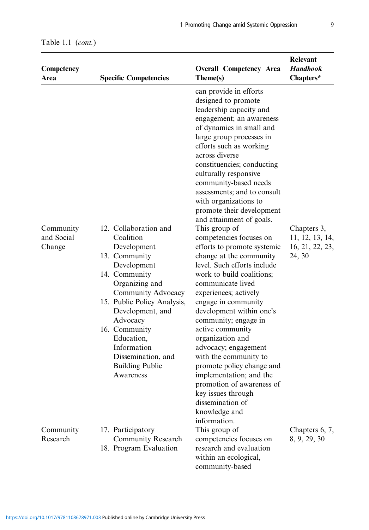| Competency<br>Area                | <b>Specific Competencies</b>                                                                                                                                                                                                                                                                                         | <b>Overall Competency Area</b><br>Theme(s)                                                                                                                                                                                                                                                                                                                                                                                                                                                                                                                                                                                                                                                                                                                                                                                                                                                                                                     | Relevant<br><b>Handbook</b><br>Chapters*                    |
|-----------------------------------|----------------------------------------------------------------------------------------------------------------------------------------------------------------------------------------------------------------------------------------------------------------------------------------------------------------------|------------------------------------------------------------------------------------------------------------------------------------------------------------------------------------------------------------------------------------------------------------------------------------------------------------------------------------------------------------------------------------------------------------------------------------------------------------------------------------------------------------------------------------------------------------------------------------------------------------------------------------------------------------------------------------------------------------------------------------------------------------------------------------------------------------------------------------------------------------------------------------------------------------------------------------------------|-------------------------------------------------------------|
| Community<br>and Social<br>Change | 12. Collaboration and<br>Coalition<br>Development<br>13. Community<br>Development<br>14. Community<br>Organizing and<br>Community Advocacy<br>15. Public Policy Analysis,<br>Development, and<br>Advocacy<br>16. Community<br>Education,<br>Information<br>Dissemination, and<br><b>Building Public</b><br>Awareness | can provide in efforts<br>designed to promote<br>leadership capacity and<br>engagement; an awareness<br>of dynamics in small and<br>large group processes in<br>efforts such as working<br>across diverse<br>constituencies; conducting<br>culturally responsive<br>community-based needs<br>assessments; and to consult<br>with organizations to<br>promote their development<br>and attainment of goals.<br>This group of<br>competencies focuses on<br>efforts to promote systemic<br>change at the community<br>level. Such efforts include<br>work to build coalitions;<br>communicate lived<br>experiences; actively<br>engage in community<br>development within one's<br>community; engage in<br>active community<br>organization and<br>advocacy; engagement<br>with the community to<br>promote policy change and<br>implementation; and the<br>promotion of awareness of<br>key issues through<br>dissemination of<br>knowledge and | Chapters 3,<br>11, 12, 13, 14,<br>16, 21, 22, 23,<br>24, 30 |
| Community<br>Research             | 17. Participatory<br><b>Community Research</b><br>18. Program Evaluation                                                                                                                                                                                                                                             | information.<br>This group of<br>competencies focuses on<br>research and evaluation<br>within an ecological,<br>community-based                                                                                                                                                                                                                                                                                                                                                                                                                                                                                                                                                                                                                                                                                                                                                                                                                | Chapters 6, 7,<br>8, 9, 29, 30                              |

## Table 1.1 (*cont.*)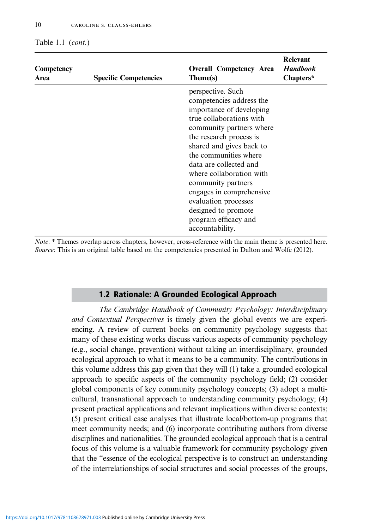#### Table 1.1 (*cont.*)

| Competency<br>Area | <b>Specific Competencies</b> | <b>Overall Competency Area</b><br>Theme(s)                                                                                                                                                                                                                                                                                                                                                                          | <b>Relevant</b><br><b>Handbook</b><br>Chapters* |
|--------------------|------------------------------|---------------------------------------------------------------------------------------------------------------------------------------------------------------------------------------------------------------------------------------------------------------------------------------------------------------------------------------------------------------------------------------------------------------------|-------------------------------------------------|
|                    |                              | perspective. Such<br>competencies address the<br>importance of developing<br>true collaborations with<br>community partners where<br>the research process is<br>shared and gives back to<br>the communities where<br>data are collected and<br>where collaboration with<br>community partners<br>engages in comprehensive<br>evaluation processes<br>designed to promote<br>program efficacy and<br>accountability. |                                                 |

*Note*: \* Themes overlap across chapters, however, cross-reference with the main theme is presented here. *Source*: This is an original table based on the competencies presented in Dalton and Wolfe (2012).

#### 1.2 Rationale: A Grounded Ecological Approach

*The Cambridge Handbook of Community Psychology: Interdisciplinary and Contextual Perspectives* is timely given the global events we are experiencing. A review of current books on community psychology suggests that many of these existing works discuss various aspects of community psychology (e.g., social change, prevention) without taking an interdisciplinary, grounded ecological approach to what it means to be a community. The contributions in this volume address this gap given that they will (1) take a grounded ecological approach to specific aspects of the community psychology field; (2) consider global components of key community psychology concepts; (3) adopt a multicultural, transnational approach to understanding community psychology; (4) present practical applications and relevant implications within diverse contexts; (5) present critical case analyses that illustrate local/bottom-up programs that meet community needs; and (6) incorporate contributing authors from diverse disciplines and nationalities. The grounded ecological approach that is a central focus of this volume is a valuable framework for community psychology given that the "essence of the ecological perspective is to construct an understanding of the interrelationships of social structures and social processes of the groups,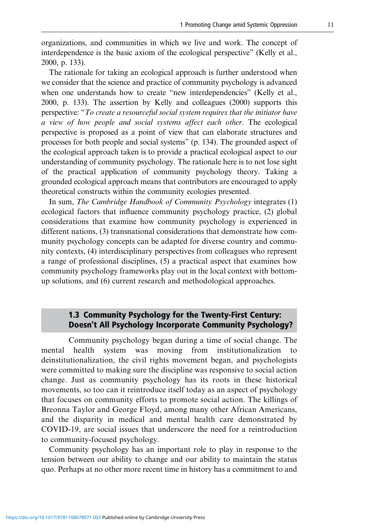organizations, and communities in which we live and work. The concept of interdependence is the basic axiom of the ecological perspective" (Kelly et al., 2000, p. 133).

The rationale for taking an ecological approach is further understood when we consider that the science and practice of community psychology is advanced when one understands how to create "new interdependencies" (Kelly et al., 2000, p. 133). The assertion by Kelly and colleagues (2000) supports this perspective: "*To create a resourceful social system requires that the initiator have a view of how people and social systems affect each other*. The ecological perspective is proposed as a point of view that can elaborate structures and processes for both people and social systems" (p. 134). The grounded aspect of the ecological approach taken is to provide a practical ecological aspect to our understanding of community psychology. The rationale here is to not lose sight of the practical application of community psychology theory. Taking a grounded ecological approach means that contributors are encouraged to apply theoretical constructs within the community ecologies presented.

In sum, *The Cambridge Handbook of Community Psychology* integrates (1) ecological factors that influence community psychology practice, (2) global considerations that examine how community psychology is experienced in different nations, (3) transnational considerations that demonstrate how community psychology concepts can be adapted for diverse country and community contexts, (4) interdisciplinary perspectives from colleagues who represent a range of professional disciplines, (5) a practical aspect that examines how community psychology frameworks play out in the local context with bottomup solutions, and (6) current research and methodological approaches.

### 1.3 Community Psychology for the Twenty-First Century: Doesn't All Psychology Incorporate Community Psychology?

Community psychology began during a time of social change. The mental health system was moving from institutionalization to deinstitutionalization, the civil rights movement began, and psychologists were committed to making sure the discipline was responsive to social action change. Just as community psychology has its roots in these historical movements, so too can it reintroduce itself today as an aspect of psychology that focuses on community efforts to promote social action. The killings of Breonna Taylor and George Floyd, among many other African Americans, and the disparity in medical and mental health care demonstrated by COVID-19, are social issues that underscore the need for a reintroduction to community-focused psychology.

Community psychology has an important role to play in response to the tension between our ability to change and our ability to maintain the status quo. Perhaps at no other more recent time in history has a commitment to and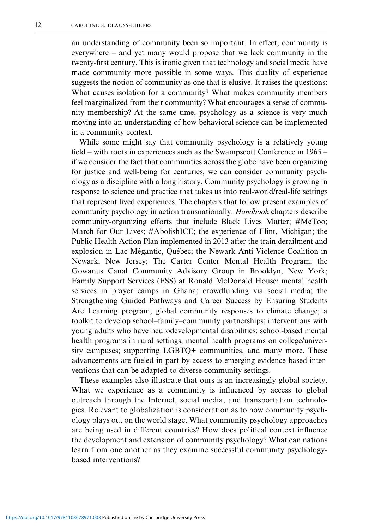an understanding of community been so important. In effect, community is everywhere – and yet many would propose that we lack community in the twenty-first century. This is ironic given that technology and social media have made community more possible in some ways. This duality of experience suggests the notion of community as one that is elusive. It raises the questions: What causes isolation for a community? What makes community members feel marginalized from their community? What encourages a sense of community membership? At the same time, psychology as a science is very much moving into an understanding of how behavioral science can be implemented in a community context.

While some might say that community psychology is a relatively young field – with roots in experiences such as the Swampscott Conference in 1965 – if we consider the fact that communities across the globe have been organizing for justice and well-being for centuries, we can consider community psychology as a discipline with a long history. Community psychology is growing in response to science and practice that takes us into real-world/real-life settings that represent lived experiences. The chapters that follow present examples of community psychology in action transnationally. *Handbook* chapters describe community-organizing efforts that include Black Lives Matter; #MeToo; March for Our Lives; #AbolishICE; the experience of Flint, Michigan; the Public Health Action Plan implemented in 2013 after the train derailment and explosion in Lac-Mégantic, Québec; the Newark Anti-Violence Coalition in Newark, New Jersey; The Carter Center Mental Health Program; the Gowanus Canal Community Advisory Group in Brooklyn, New York; Family Support Services (FSS) at Ronald McDonald House; mental health services in prayer camps in Ghana; crowdfunding via social media; the Strengthening Guided Pathways and Career Success by Ensuring Students Are Learning program; global community responses to climate change; a toolkit to develop school–family–community partnerships; interventions with young adults who have neurodevelopmental disabilities; school-based mental health programs in rural settings; mental health programs on college/university campuses; supporting LGBTQ+ communities, and many more. These advancements are fueled in part by access to emerging evidence-based interventions that can be adapted to diverse community settings.

These examples also illustrate that ours is an increasingly global society. What we experience as a community is influenced by access to global outreach through the Internet, social media, and transportation technologies. Relevant to globalization is consideration as to how community psychology plays out on the world stage. What community psychology approaches are being used in different countries? How does political context influence the development and extension of community psychology? What can nations learn from one another as they examine successful community psychologybased interventions?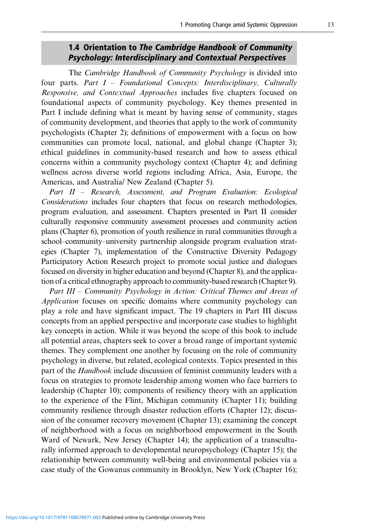## 1.4 Orientation to *The Cambridge Handbook of Community Psychology: Interdisciplinary and Contextual Perspectives*

The *Cambridge Handbook of Community Psychology* is divided into four parts. *Part I – Foundational Concepts: Interdisciplinary, Culturally Responsive, and Contextual Approaches* includes five chapters focused on foundational aspects of community psychology. Key themes presented in Part I include defining what is meant by having sense of community, stages of community development, and theories that apply to the work of community psychologists (Chapter 2); definitions of empowerment with a focus on how communities can promote local, national, and global change (Chapter 3); ethical guidelines in community-based research and how to assess ethical concerns within a community psychology context (Chapter 4); and defining wellness across diverse world regions including Africa, Asia, Europe, the Americas, and Australia/ New Zealand (Chapter 5).

*Part II – Research, Assessment, and Program Evaluation: Ecological Considerations* includes four chapters that focus on research methodologies, program evaluation, and assessment. Chapters presented in Part II consider culturally responsive community assessment processes and community action plans (Chapter 6), promotion of youth resilience in rural communities through a school–community–university partnership alongside program evaluation strategies (Chapter 7), implementation of the Constructive Diversity Pedagogy Participatory Action Research project to promote social justice and dialogues focused on diversity in higher education and beyond (Chapter 8), and the application of a critical ethnography approach to community-based research (Chapter 9).

*Part III – Community Psychology in Action: Critical Themes and Areas of Application* focuses on specific domains where community psychology can play a role and have significant impact. The 19 chapters in Part III discuss concepts from an applied perspective and incorporate case studies to highlight key concepts in action. While it was beyond the scope of this book to include all potential areas, chapters seek to cover a broad range of important systemic themes. They complement one another by focusing on the role of community psychology in diverse, but related, ecological contexts. Topics presented in this part of the *Handbook* include discussion of feminist community leaders with a focus on strategies to promote leadership among women who face barriers to leadership (Chapter 10); components of resiliency theory with an application to the experience of the Flint, Michigan community (Chapter 11); building community resilience through disaster reduction efforts (Chapter 12); discussion of the consumer recovery movement (Chapter 13); examining the concept of neighborhood with a focus on neighborhood empowerment in the South Ward of Newark, New Jersey (Chapter 14); the application of a transculturally informed approach to developmental neuropsychology (Chapter 15); the relationship between community well-being and environmental policies via a case study of the Gowanus community in Brooklyn, New York (Chapter 16);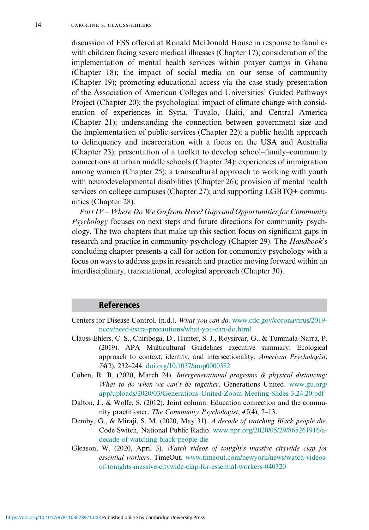discussion of FSS offered at Ronald McDonald House in response to families with children facing severe medical illnesses (Chapter 17); consideration of the implementation of mental health services within prayer camps in Ghana (Chapter 18); the impact of social media on our sense of community (Chapter 19); promoting educational access via the case study presentation of the Association of American Colleges and Universities' Guided Pathways Project (Chapter 20); the psychological impact of climate change with consideration of experiences in Syria, Tuvalo, Haiti, and Central America (Chapter 21); understanding the connection between government size and the implementation of public services (Chapter 22); a public health approach to delinquency and incarceration with a focus on the USA and Australia (Chapter 23); presentation of a toolkit to develop school–family–community connections at urban middle schools (Chapter 24); experiences of immigration among women (Chapter 25); a transcultural approach to working with youth with neurodevelopmental disabilities (Chapter 26); provision of mental health services on college campuses (Chapter 27); and supporting LGBTQ+ communities (Chapter 28).

*Part IV – Where Do We Go from Here? Gaps and Opportunities for Community Psychology* focuses on next steps and future directions for community psychology. The two chapters that make up this section focus on significant gaps in research and practice in community psychology (Chapter 29). The *Handbook*'s concluding chapter presents a call for action for community psychology with a focus on ways to address gaps in research and practice moving forward within an interdisciplinary, transnational, ecological approach (Chapter 30).

#### References

- Centers for Disease Control. (n.d.). *What you can do*. [www.cdc.gov/coronavirus/2019](https://www.cdc.gov/coronavirus/2019-ncov/need-extra-precautions/what-you-can-do.html) [ncov/need-extra-precautions/what-you-can-do.html](https://www.cdc.gov/coronavirus/2019-ncov/need-extra-precautions/what-you-can-do.html)
- Clauss-Ehlers, C. S., Chiriboga, D., Hunter, S. J., Roysircar, G., & Tummala-Narra, P. (2019). APA Multicultural Guidelines executive summary: Ecological approach to context, identity, and intersectionality. *American Psychologist*, *74*(2), 232–244. [doi.org/10.1037/amp0000382](https://doi.org/10.1037/amp0000382)
- Cohen, R. B. (2020, March 24). *Intergenerational programs & physical distancing: What to do when we can't be together*. Generations United. [www.gu.org/](https://www.gu.org/app/uploads/2020/03/Generations-United-Zoom-Meeting-Slides-3.24.20.pdf) [app/uploads/2020/03/Generations-United-Zoom-Meeting-Slides-3.24.20.pdf](https://www.gu.org/app/uploads/2020/03/Generations-United-Zoom-Meeting-Slides-3.24.20.pdf)
- Dalton, J., & Wolfe, S. (2012). Joint column: Education connection and the community practitioner. *The Community Psychologist*, *45*(4), 7–13.
- Demby, G., & Miraji, S. M. (2020, May 31). *A decade of watching Black people die*. Code Switch, National Public Radio. [www.npr.org/2020/05/29/865261916/a](https://www.npr.org/2020/05/29/865261916/a-decade-of-watching-black-people-die)[decade-of-watching-black-people-die](https://www.npr.org/2020/05/29/865261916/a-decade-of-watching-black-people-die)
- Gleason, W. (2020, April 3). *Watch videos of tonight's massive citywide clap for essential workers*. TimeOut. [www.timeout.com/newyork/news/watch-videos](https://www.timeout.com/newyork/news/watch-videos-of-tonights-massive-citywide-clap-for-essential-workers-040320)[of-tonights-massive-citywide-clap-for-essential-workers-040320](https://www.timeout.com/newyork/news/watch-videos-of-tonights-massive-citywide-clap-for-essential-workers-040320)